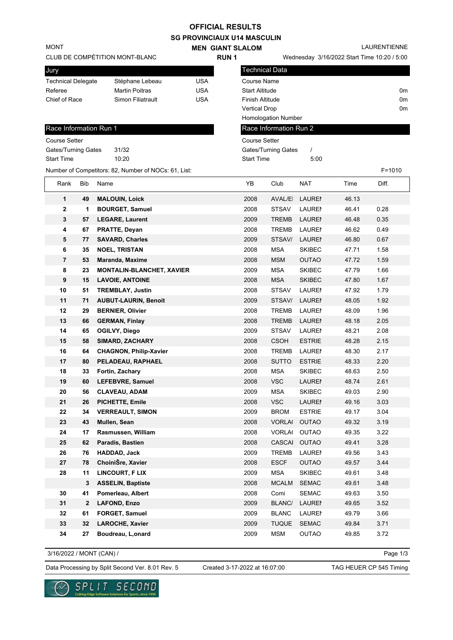## **OFFICIAL RESULTS**

**SG PROVINCIAUX U14 MASCULIN**

**MEN GIANT SLALOM** Wednesday 3/16/2022 Start Time 10:20 / 5:00 LAURENTIENNE CLUB DE COMPÉTITION MONT-BLANC MONT **RUN 1** Technical Data Race Information Run 1 Jury Technical Delegate Stéphane Lebeau USA Referee Martin Poitras USA Chief of Race Simon Filiatrault USA Course Name Start Altitude 0m Finish Altitude 0m Vertical Drop 0m Homologation Number Course Setter Gates/Turning Gates 31/32 Start Time 10:20 Gates/Turning Gates / Start Time 5:00 Number of Competitors: 82, Number of NOCs: 61, List: F=1010 Race Information Run 2 Course Setter Rank Bib Name YB Club NAT Time Diff. **1 49 MALOUIN, Loick** 2008 AVAL/EI LAUREN 46.13 **2 1 BOURGET, Samuel 12008 STSAV LAURENTIDES 46.41 0.28 3 57 LEGARE, Laurent** 2009 TREMB LAURENT 46.48 0.35 **4 67 PRATTE, Deyan** 2008 TREMB LAURENT 46.62 0.49 **5 77 SAVARD, Charles** 2009 STSAV/LAURENTIDES 46.80 0.67 **6 35 NOEL, TRISTAN** 2008 MSA SKIBEC 47.71 1.58 **7 53 Maranda, Maxime** 2008 MSM OUTAO 47.72 1.59 **8 23 MONTALIN-BLANCHET, XAVIER** 2009 MSA SKIBEC 47.79 1.66 **9 15 LAVOIE, ANTOINE** 2008 MSA SKIBEC 47.80 1.67 **10 51 TREMBLAY, Justin** 1 2008 STSAV LAURENT 47.92 1.79 **11 71 AUBUT-LAURIN, Benoit 12009** STSAV/LAURENTIDES 48.05 1.92 **12 29 BERNIER, Olivier 1988 12008 TREMB LAURENT 48.09 1.96 13 66 GERMAN, Finlay** 2008 TREMB LAURENT 48.18 2.05 **14 65 OGILVY, Diego** 2009 STSAV LAURENT 48.21 2.08 **15 58 SIMARD, ZACHARY** 2008 CSOH ESTRIE 48.28 2.15 **16 64 CHAGNON, Philip-Xavier** 2008 TREMB LAUREI 48.30 2.17 **17 80 PELADEAU, RAPHAEL** 2008 SUTTO ESTRIE 48.33 2.20 **18 33 Fortin, Zachary** 2008 MSA SKIBEC 48.63 2.50 19 60 LEFEBVRE, Samuel **19 and 19 and 19 and 19 and 19 and 19 and 19 and 19 and 19 and 19 and 19 and 19 and 19 and 19 and 19 and 19 and 19 and 19 and 19 and 19 and 19 and 19 and 19 and 19 and 19 and 19 and 19 and 19 and 19 20 56 CLAVEAU, ADAM** 2009 MSA SKIBEC 49.03 2.90 **21 26 PICHETTE, Emile** 2008 VSC LAURENTIDES 49.16 3.03 **22 34 VERREAULT, SIMON** 2009 BROM ESTRIE 49.17 3.04 **23 43 Mullen, Sean** 2008 VORLA( OUTAO 49.32 3.19 **24 17 Rasmussen, William 19.2008 VORLAGEOUTAO** 49.35 3.22 **25 62 Paradis, Bastien** 2008 CASCAI OUTAO 49.41 3.28 **26 76 HADDAD, Jack** 2009 TREMB LAURENT 49.56 3.43 **27 78 ChoiniŠre, Xavier** 2008 ESCF OUTAO 49.57 3.44 **28 11 LINCOURT, F LIX** 2009 MSA SKIBEC 49.61 3.48  **3 ASSELIN, Baptiste** 2008 MCALM SEMAC 49.61 3.48 **30 41 Pomerleau, Albert** 2008 Comi SEMAC 49.63 3.50 **31 2 LAFOND, Enzo** 2009 BLANC/LAURENTING 49.65 3.52 **32 61 FORGET, Samuel 12009 BLANC LAURENTIDES 49.79 3.66 33 32 LAROCHE, Xavier** 2009 TUQUE SEMAC 49.84 3.71 **34 27 Boudreau, L,onard** 2009 MSM OUTAO 49.85 3.72

3/16/2022 / MONT (CAN) /

Page 1/3

Data Processing by Split Second Ver. 8.01 Rev. 5 Created 3-17-2022 at 16:07:00 TAG HEUER CP 545 Timing

Created 3-17-2022 at 16:07:00

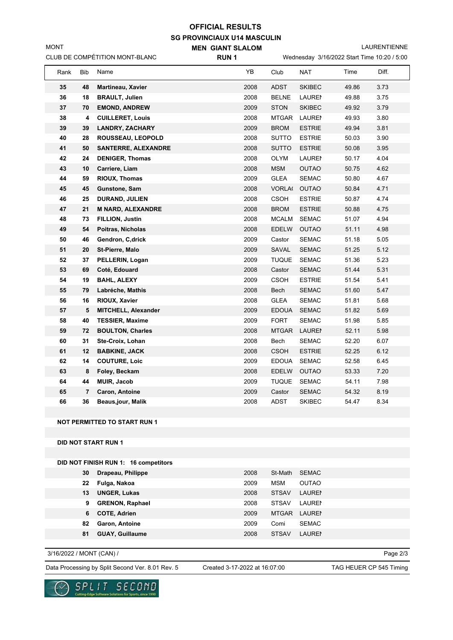## **SG PROVINCIAUX U14 MASCULIN MEN GIANT SLALOM OFFICIAL RESULTS**

LAURENTIENNE

| CLUB DE COMPÉTITION MONT-BLANC |      |                |                            | <b>RUN1</b> |               | Wednesday 3/16/2022 Start Time 10:20 / 5:00 |       |       |  |
|--------------------------------|------|----------------|----------------------------|-------------|---------------|---------------------------------------------|-------|-------|--|
|                                | Rank | Bib            | Name                       | YB          | Club          | <b>NAT</b>                                  | Time  | Diff. |  |
|                                | 35   | 48             | Martineau, Xavier          | 2008        | ADST          | <b>SKIBEC</b>                               | 49.86 | 3.73  |  |
|                                | 36   | 18             | <b>BRAULT, Julien</b>      | 2008        | <b>BELNE</b>  | <b>LAUREI</b>                               | 49.88 | 3.75  |  |
|                                | 37   | 70             | <b>EMOND, ANDREW</b>       | 2009        | <b>STON</b>   | <b>SKIBEC</b>                               | 49.92 | 3.79  |  |
|                                | 38   | 4              | <b>CUILLERET, Louis</b>    | 2008        | <b>MTGAR</b>  | <b>LAUREI</b>                               | 49.93 | 3.80  |  |
|                                | 39   | 39             | <b>LANDRY, ZACHARY</b>     | 2009        | <b>BROM</b>   | <b>ESTRIE</b>                               | 49.94 | 3.81  |  |
|                                | 40   | 28             | ROUSSEAU, LEOPOLD          | 2008        | <b>SUTTO</b>  | <b>ESTRIE</b>                               | 50.03 | 3.90  |  |
|                                | 41   | 50             | <b>SANTERRE, ALEXANDRE</b> | 2008        | <b>SUTTO</b>  | <b>ESTRIE</b>                               | 50.08 | 3.95  |  |
|                                | 42   | 24             | <b>DENIGER, Thomas</b>     | 2008        | <b>OLYM</b>   | <b>LAUREI</b>                               | 50.17 | 4.04  |  |
|                                | 43   | 10             | Carriere, Liam             | 2008        | <b>MSM</b>    | <b>OUTAO</b>                                | 50.75 | 4.62  |  |
|                                | 44   | 59             | <b>RIOUX, Thomas</b>       | 2009        | <b>GLEA</b>   | <b>SEMAC</b>                                | 50.80 | 4.67  |  |
|                                | 45   | 45             | Gunstone, Sam              | 2008        | <b>VORLA(</b> | <b>OUTAO</b>                                | 50.84 | 4.71  |  |
|                                | 46   | 25             | DURAND, JULIEN             | 2008        | <b>CSOH</b>   | <b>ESTRIE</b>                               | 50.87 | 4.74  |  |
|                                | 47   | 21             | <b>M NARD, ALEXANDRE</b>   | 2008        | <b>BROM</b>   | <b>ESTRIE</b>                               | 50.88 | 4.75  |  |
|                                | 48   | ${\bf 73}$     | FILLION, Justin            | 2008        | <b>MCALM</b>  | <b>SEMAC</b>                                | 51.07 | 4.94  |  |
|                                | 49   | 54             | Poitras, Nicholas          | 2008        | <b>EDELW</b>  | <b>OUTAO</b>                                | 51.11 | 4.98  |  |
|                                | 50   | 46             | Gendron, C, drick          | 2009        | Castor        | <b>SEMAC</b>                                | 51.18 | 5.05  |  |
|                                | 51   | 20             | St-Pierre, Malo            | 2009        | SAVAL         | <b>SEMAC</b>                                | 51.25 | 5.12  |  |
|                                | 52   | 37             | PELLERIN, Logan            | 2009        | <b>TUQUE</b>  | <b>SEMAC</b>                                | 51.36 | 5.23  |  |
|                                | 53   | 69             | Coté, Edouard              | 2008        | Castor        | <b>SEMAC</b>                                | 51.44 | 5.31  |  |
|                                | 54   | 19             | <b>BAHL, ALEXY</b>         | 2009        | <b>CSOH</b>   | <b>ESTRIE</b>                               | 51.54 | 5.41  |  |
|                                | 55   | 79             | Labréche, Mathis           | 2008        | Bech          | <b>SEMAC</b>                                | 51.60 | 5.47  |  |
|                                | 56   | 16             | RIOUX, Xavier              | 2008        | <b>GLEA</b>   | <b>SEMAC</b>                                | 51.81 | 5.68  |  |
|                                | 57   | 5              | MITCHELL, Alexander        | 2009        | <b>EDOUA</b>  | <b>SEMAC</b>                                | 51.82 | 5.69  |  |
|                                | 58   | 40             | <b>TESSIER, Maxime</b>     | 2009        | <b>FORT</b>   | <b>SEMAC</b>                                | 51.98 | 5.85  |  |
|                                | 59   | 72             | <b>BOULTON, Charles</b>    | 2008        | <b>MTGAR</b>  | <b>LAURE</b>                                | 52.11 | 5.98  |  |
|                                | 60   | 31             | Ste-Croix, Lohan           | 2008        | Bech          | <b>SEMAC</b>                                | 52.20 | 6.07  |  |
|                                | 61   | 12             | <b>BABKINE, JACK</b>       | 2008        | <b>CSOH</b>   | <b>ESTRIE</b>                               | 52.25 | 6.12  |  |
|                                | 62   | 14             | <b>COUTURE, Loic</b>       | 2009        | <b>EDOUA</b>  | <b>SEMAC</b>                                | 52.58 | 6.45  |  |
|                                | 63   | 8              | Foley, Beckam              | 2008        | <b>EDELW</b>  | <b>OUTAO</b>                                | 53.33 | 7.20  |  |
|                                | 64   | 44             | <b>MUIR, Jacob</b>         | 2009        | <b>TUQUE</b>  | <b>SEMAC</b>                                | 54.11 | 7.98  |  |
|                                | 65   | $\overline{7}$ | Caron, Antoine             | 2009        | Castor        | <b>SEMAC</b>                                | 54.32 | 8.19  |  |
|                                | 66   | 36             | <b>Beaus,jour, Malik</b>   | 2008        | ADST          | <b>SKIBEC</b>                               | 54.47 | 8.34  |  |
|                                |      |                |                            |             |               |                                             |       |       |  |

## **NOT PERMITTED TO START RUN 1**

**DID NOT START RUN 1**

MONT

| DID NOT FINISH RUN 1: 16 competitors |    |                        |      |              |               |  |  |
|--------------------------------------|----|------------------------|------|--------------|---------------|--|--|
|                                      | 30 | Drapeau, Philippe      | 2008 | St-Math      | <b>SEMAC</b>  |  |  |
|                                      | 22 | Fulga, Nakoa           | 2009 | MSM          | <b>OUTAO</b>  |  |  |
|                                      | 13 | <b>UNGER, Lukas</b>    | 2008 | <b>STSAV</b> | <b>LAURE</b>  |  |  |
|                                      | 9  | <b>GRENON, Raphael</b> | 2008 | <b>STSAV</b> | <b>LAUREN</b> |  |  |
|                                      | 6  | <b>COTE, Adrien</b>    | 2009 | <b>MTGAR</b> | <b>LAUREN</b> |  |  |
|                                      | 82 | <b>Garon, Antoine</b>  | 2009 | Comi         | <b>SEMAC</b>  |  |  |
|                                      | 81 | <b>GUAY, Guillaume</b> | 2008 | <b>STSAV</b> | <b>LAUREN</b> |  |  |
|                                      |    |                        |      |              |               |  |  |

3/16/2022 / MONT (CAN) /

Data Processing by Split Second Ver. 8.01 Rev. 5 Created 3-17-2022 at 16:07:00 TAG HEUER CP 545 Timing

re Solutions for Sports, since 1990

Created 3-17-2022 at 16:07:00

Page 2/3